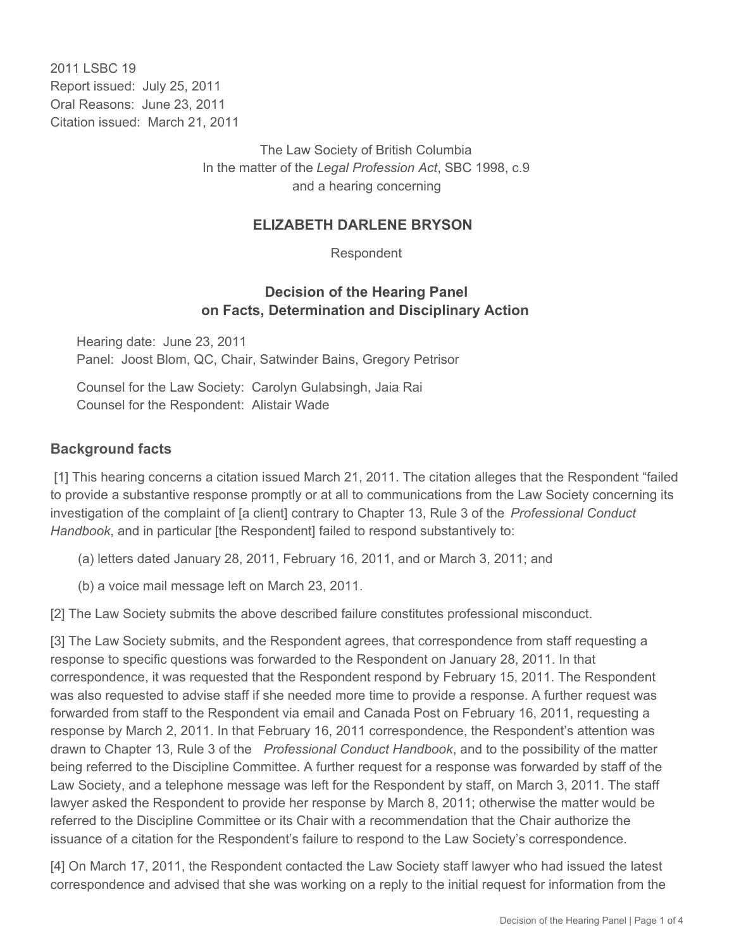2011 I SBC 19 Report issued: July 25, 2011 Oral Reasons: June 23, 2011 Citation issued: March 21, 2011

> The Law Society of British Columbia In the matter of the *Legal Profession Act*, SBC 1998, c.9 and a hearing concerning

### **ELIZABETH DARLENE BRYSON**

Respondent

### **Decision of the Hearing Panel on Facts, Determination and Disciplinary Action**

Hearing date: June 23, 2011 Panel: Joost Blom, QC, Chair, Satwinder Bains, Gregory Petrisor

Counsel for the Law Society: Carolyn Gulabsingh, Jaia Rai Counsel for the Respondent: Alistair Wade

### **Background facts**

 [1] This hearing concerns a citation issued March 21, 2011. The citation alleges that the Respondent "failed to provide a substantive response promptly or at all to communications from the Law Society concerning its investigation of the complaint of [a client] contrary to Chapter 13, Rule 3 of the *Professional Conduct Handbook*, and in particular [the Respondent] failed to respond substantively to:

- (a) letters dated January 28, 2011, February 16, 2011, and or March 3, 2011; and
- (b) a voice mail message left on March 23, 2011.

[2] The Law Society submits the above described failure constitutes professional misconduct.

[3] The Law Society submits, and the Respondent agrees, that correspondence from staff requesting a response to specific questions was forwarded to the Respondent on January 28, 2011. In that correspondence, it was requested that the Respondent respond by February 15, 2011. The Respondent was also requested to advise staff if she needed more time to provide a response. A further request was forwarded from staff to the Respondent via email and Canada Post on February 16, 2011, requesting a response by March 2, 2011. In that February 16, 2011 correspondence, the Respondent's attention was drawn to Chapter 13, Rule 3 of the *Professional Conduct Handbook*, and to the possibility of the matter being referred to the Discipline Committee. A further request for a response was forwarded by staff of the Law Society, and a telephone message was left for the Respondent by staff, on March 3, 2011. The staff lawyer asked the Respondent to provide her response by March 8, 2011; otherwise the matter would be referred to the Discipline Committee or its Chair with a recommendation that the Chair authorize the issuance of a citation for the Respondent's failure to respond to the Law Society's correspondence.

[4] On March 17, 2011, the Respondent contacted the Law Society staff lawyer who had issued the latest correspondence and advised that she was working on a reply to the initial request for information from the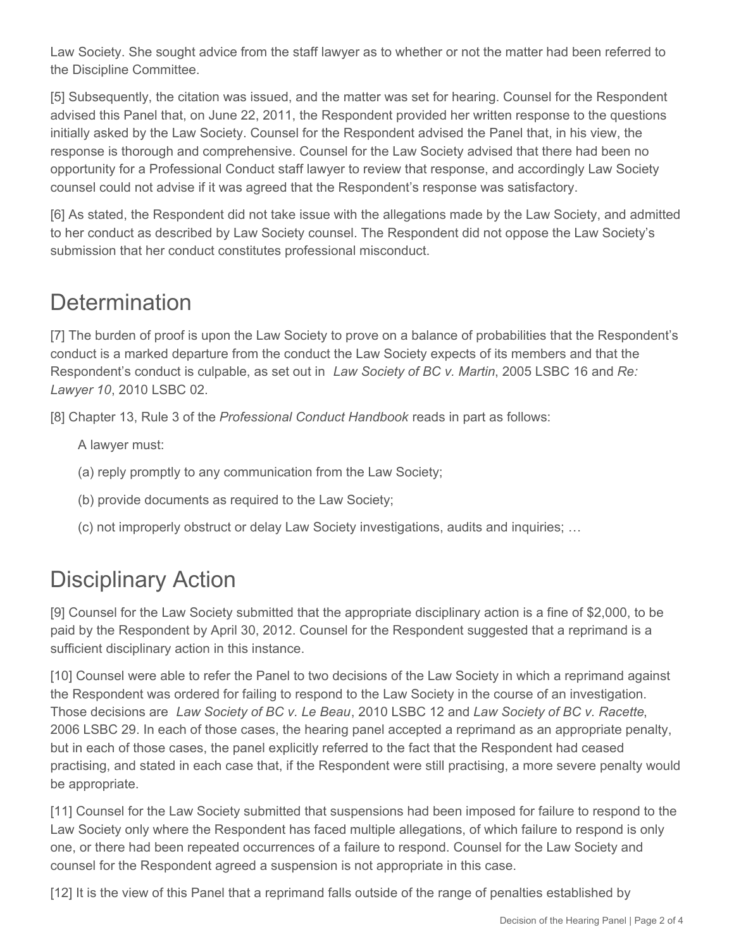Law Society. She sought advice from the staff lawyer as to whether or not the matter had been referred to the Discipline Committee.

[5] Subsequently, the citation was issued, and the matter was set for hearing. Counsel for the Respondent advised this Panel that, on June 22, 2011, the Respondent provided her written response to the questions initially asked by the Law Society. Counsel for the Respondent advised the Panel that, in his view, the response is thorough and comprehensive. Counsel for the Law Society advised that there had been no opportunity for a Professional Conduct staff lawyer to review that response, and accordingly Law Society counsel could not advise if it was agreed that the Respondent's response was satisfactory.

[6] As stated, the Respondent did not take issue with the allegations made by the Law Society, and admitted to her conduct as described by Law Society counsel. The Respondent did not oppose the Law Society's submission that her conduct constitutes professional misconduct.

## **Determination**

[7] The burden of proof is upon the Law Society to prove on a balance of probabilities that the Respondent's conduct is a marked departure from the conduct the Law Society expects of its members and that the Respondent's conduct is culpable, as set out in *Law Society of BC v. Martin*, 2005 LSBC 16 and *Re: Lawyer 10*, 2010 LSBC 02.

[8] Chapter 13, Rule 3 of the *Professional Conduct Handbook* reads in part as follows:

A lawyer must:

- (a) reply promptly to any communication from the Law Society;
- (b) provide documents as required to the Law Society;
- (c) not improperly obstruct or delay Law Society investigations, audits and inquiries; …

# Disciplinary Action

[9] Counsel for the Law Society submitted that the appropriate disciplinary action is a fine of \$2,000, to be paid by the Respondent by April 30, 2012. Counsel for the Respondent suggested that a reprimand is a sufficient disciplinary action in this instance.

[10] Counsel were able to refer the Panel to two decisions of the Law Society in which a reprimand against the Respondent was ordered for failing to respond to the Law Society in the course of an investigation. Those decisions are *Law Society of BC v. Le Beau*, 2010 LSBC 12 and *Law Society of BC v. Racette*, 2006 LSBC 29. In each of those cases, the hearing panel accepted a reprimand as an appropriate penalty, but in each of those cases, the panel explicitly referred to the fact that the Respondent had ceased practising, and stated in each case that, if the Respondent were still practising, a more severe penalty would be appropriate.

[11] Counsel for the Law Society submitted that suspensions had been imposed for failure to respond to the Law Society only where the Respondent has faced multiple allegations, of which failure to respond is only one, or there had been repeated occurrences of a failure to respond. Counsel for the Law Society and counsel for the Respondent agreed a suspension is not appropriate in this case.

[12] It is the view of this Panel that a reprimand falls outside of the range of penalties established by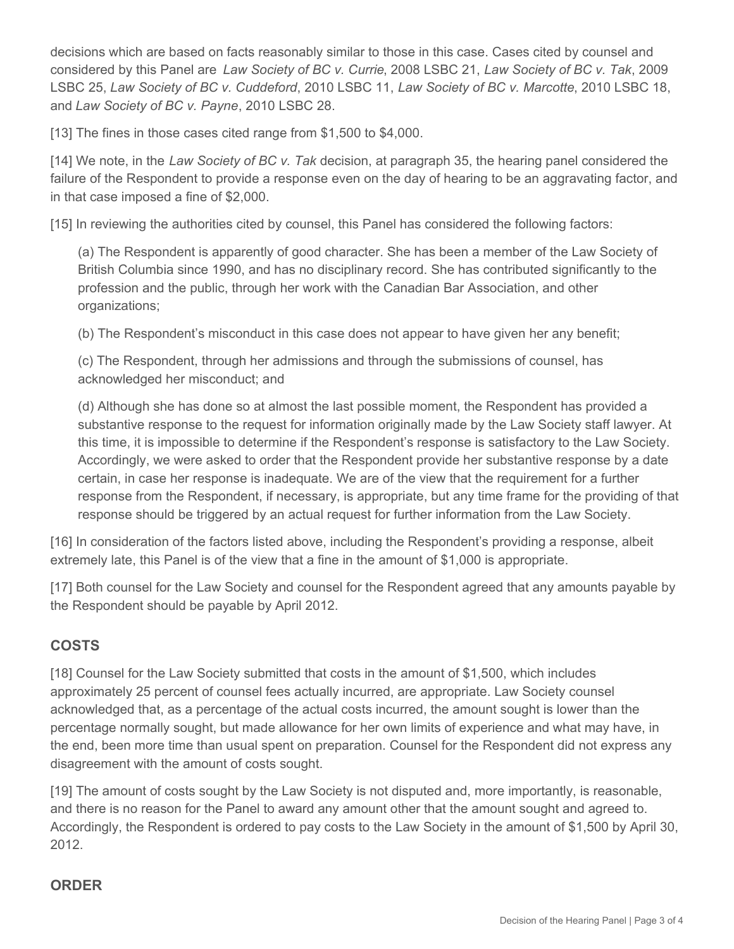decisions which are based on facts reasonably similar to those in this case. Cases cited by counsel and considered by this Panel are *Law Society of BC v. Currie*, 2008 LSBC 21, *Law Society of BC v. Tak*, 2009 LSBC 25, *Law Society of BC v. Cuddeford*, 2010 LSBC 11, *Law Society of BC v. Marcotte*, 2010 LSBC 18, and *Law Society of BC v. Payne*, 2010 LSBC 28.

[13] The fines in those cases cited range from \$1,500 to \$4,000.

[14] We note, in the *Law Society of BC v. Tak* decision, at paragraph 35, the hearing panel considered the failure of the Respondent to provide a response even on the day of hearing to be an aggravating factor, and in that case imposed a fine of \$2,000.

[15] In reviewing the authorities cited by counsel, this Panel has considered the following factors:

(a) The Respondent is apparently of good character. She has been a member of the Law Society of British Columbia since 1990, and has no disciplinary record. She has contributed significantly to the profession and the public, through her work with the Canadian Bar Association, and other organizations;

(b) The Respondent's misconduct in this case does not appear to have given her any benefit;

(c) The Respondent, through her admissions and through the submissions of counsel, has acknowledged her misconduct; and

(d) Although she has done so at almost the last possible moment, the Respondent has provided a substantive response to the request for information originally made by the Law Society staff lawyer. At this time, it is impossible to determine if the Respondent's response is satisfactory to the Law Society. Accordingly, we were asked to order that the Respondent provide her substantive response by a date certain, in case her response is inadequate. We are of the view that the requirement for a further response from the Respondent, if necessary, is appropriate, but any time frame for the providing of that response should be triggered by an actual request for further information from the Law Society.

[16] In consideration of the factors listed above, including the Respondent's providing a response, albeit extremely late, this Panel is of the view that a fine in the amount of \$1,000 is appropriate.

[17] Both counsel for the Law Society and counsel for the Respondent agreed that any amounts payable by the Respondent should be payable by April 2012.

### **COSTS**

[18] Counsel for the Law Society submitted that costs in the amount of \$1,500, which includes approximately 25 percent of counsel fees actually incurred, are appropriate. Law Society counsel acknowledged that, as a percentage of the actual costs incurred, the amount sought is lower than the percentage normally sought, but made allowance for her own limits of experience and what may have, in the end, been more time than usual spent on preparation. Counsel for the Respondent did not express any disagreement with the amount of costs sought.

[19] The amount of costs sought by the Law Society is not disputed and, more importantly, is reasonable, and there is no reason for the Panel to award any amount other that the amount sought and agreed to. Accordingly, the Respondent is ordered to pay costs to the Law Society in the amount of \$1,500 by April 30, 2012.

### **ORDER**